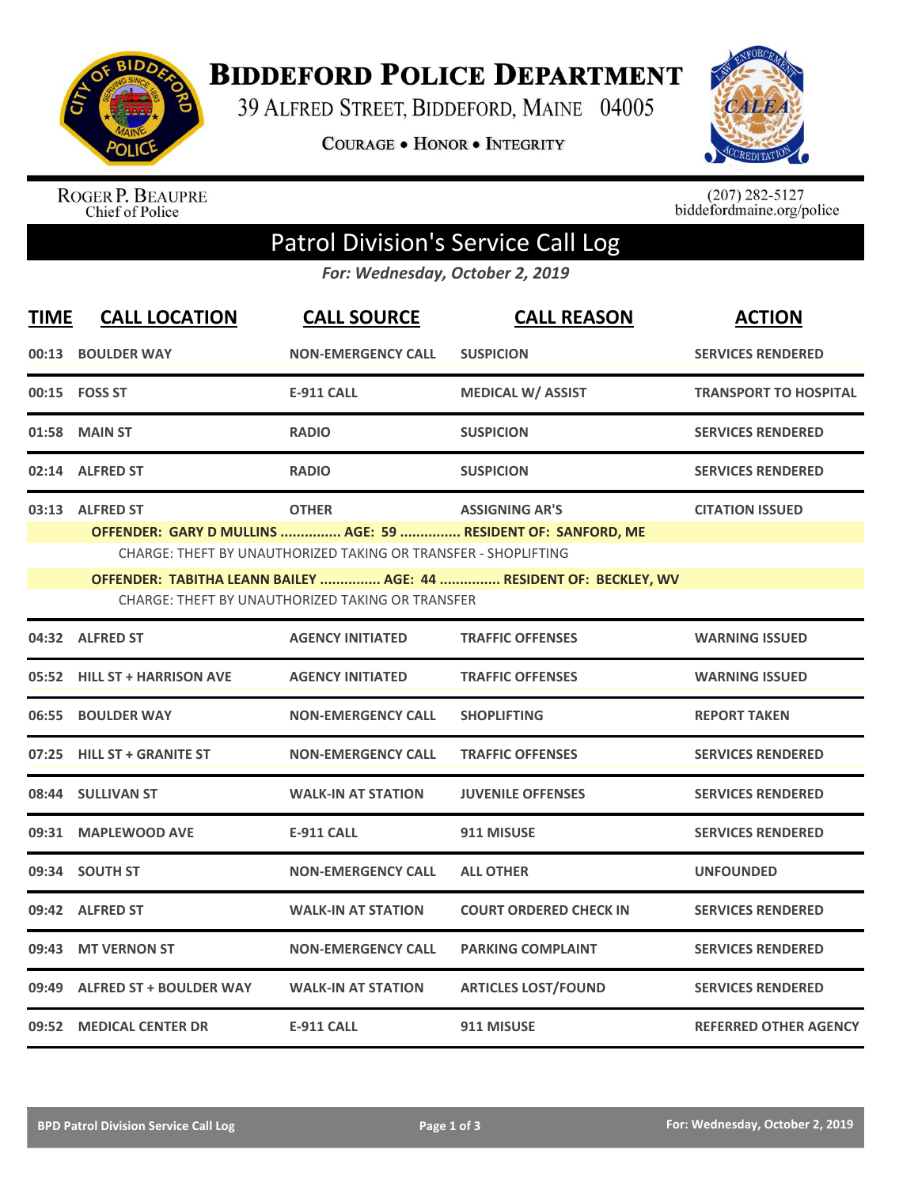

**BIDDEFORD POLICE DEPARTMENT** 

39 ALFRED STREET, BIDDEFORD, MAINE 04005

**COURAGE . HONOR . INTEGRITY** 



ROGER P. BEAUPRE<br>Chief of Police

 $(207)$  282-5127<br>biddefordmaine.org/police

## Patrol Division's Service Call Log

*For: Wednesday, October 2, 2019*

| <b>TIME</b> | <b>CALL LOCATION</b>                                                                                                  | <b>CALL SOURCE</b>                                                             | <b>CALL REASON</b>                                                                   | <b>ACTION</b>                |  |  |  |
|-------------|-----------------------------------------------------------------------------------------------------------------------|--------------------------------------------------------------------------------|--------------------------------------------------------------------------------------|------------------------------|--|--|--|
|             | 00:13 BOULDER WAY                                                                                                     | <b>NON-EMERGENCY CALL</b>                                                      | <b>SUSPICION</b>                                                                     | <b>SERVICES RENDERED</b>     |  |  |  |
|             | 00:15 FOSS ST                                                                                                         | <b>E-911 CALL</b>                                                              | <b>MEDICAL W/ ASSIST</b>                                                             | <b>TRANSPORT TO HOSPITAL</b> |  |  |  |
| 01:58       | <b>MAIN ST</b>                                                                                                        | <b>RADIO</b>                                                                   | <b>SUSPICION</b>                                                                     | <b>SERVICES RENDERED</b>     |  |  |  |
|             | 02:14 ALFRED ST                                                                                                       | <b>RADIO</b>                                                                   | <b>SUSPICION</b>                                                                     | <b>SERVICES RENDERED</b>     |  |  |  |
|             | 03:13 ALFRED ST                                                                                                       | <b>OTHER</b><br>CHARGE: THEFT BY UNAUTHORIZED TAKING OR TRANSFER - SHOPLIFTING | <b>ASSIGNING AR'S</b><br>OFFENDER: GARY D MULLINS  AGE: 59  RESIDENT OF: SANFORD, ME | <b>CITATION ISSUED</b>       |  |  |  |
|             | OFFENDER: TABITHA LEANN BAILEY  AGE: 44  RESIDENT OF: BECKLEY, WV<br>CHARGE: THEFT BY UNAUTHORIZED TAKING OR TRANSFER |                                                                                |                                                                                      |                              |  |  |  |
|             | 04:32 ALFRED ST                                                                                                       | <b>AGENCY INITIATED</b>                                                        | <b>TRAFFIC OFFENSES</b>                                                              | <b>WARNING ISSUED</b>        |  |  |  |
| 05:52       | <b>HILL ST + HARRISON AVE</b>                                                                                         | <b>AGENCY INITIATED</b>                                                        | <b>TRAFFIC OFFENSES</b>                                                              | <b>WARNING ISSUED</b>        |  |  |  |
|             | 06:55 BOULDER WAY                                                                                                     | <b>NON-EMERGENCY CALL</b>                                                      | <b>SHOPLIFTING</b>                                                                   | <b>REPORT TAKEN</b>          |  |  |  |
| 07:25       | <b>HILL ST + GRANITE ST</b>                                                                                           | <b>NON-EMERGENCY CALL</b>                                                      | <b>TRAFFIC OFFENSES</b>                                                              | <b>SERVICES RENDERED</b>     |  |  |  |
|             | 08:44 SULLIVAN ST                                                                                                     | <b>WALK-IN AT STATION</b>                                                      | <b>JUVENILE OFFENSES</b>                                                             | <b>SERVICES RENDERED</b>     |  |  |  |
|             | 09:31 MAPLEWOOD AVE                                                                                                   | <b>E-911 CALL</b>                                                              | 911 MISUSE                                                                           | <b>SERVICES RENDERED</b>     |  |  |  |
|             | 09:34 SOUTH ST                                                                                                        | <b>NON-EMERGENCY CALL</b>                                                      | <b>ALL OTHER</b>                                                                     | <b>UNFOUNDED</b>             |  |  |  |
|             | 09:42 ALFRED ST                                                                                                       | <b>WALK-IN AT STATION</b>                                                      | <b>COURT ORDERED CHECK IN</b>                                                        | <b>SERVICES RENDERED</b>     |  |  |  |
| 09:43       | <b>MT VERNON ST</b>                                                                                                   | <b>NON-EMERGENCY CALL</b>                                                      | <b>PARKING COMPLAINT</b>                                                             | <b>SERVICES RENDERED</b>     |  |  |  |
| 09:49       | <b>ALFRED ST + BOULDER WAY</b>                                                                                        | <b>WALK-IN AT STATION</b>                                                      | <b>ARTICLES LOST/FOUND</b>                                                           | <b>SERVICES RENDERED</b>     |  |  |  |
|             | 09:52 MEDICAL CENTER DR                                                                                               | <b>E-911 CALL</b>                                                              | 911 MISUSE                                                                           | <b>REFERRED OTHER AGENCY</b> |  |  |  |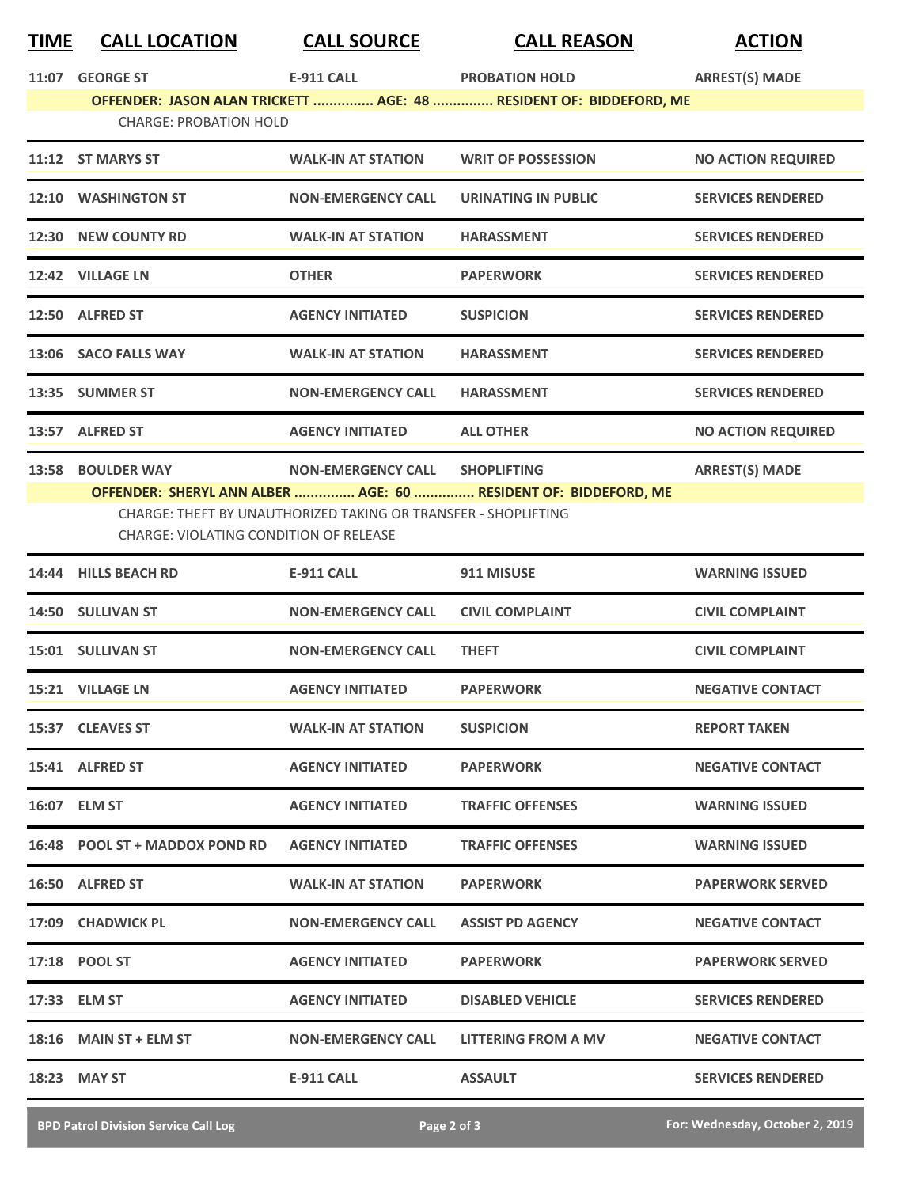| <u>TIME</u> | <b>CALL LOCATION</b>                          | <b>CALL SOURCE</b>                                             | <b>CALL REASON</b>                                                 | <b>ACTION</b>             |
|-------------|-----------------------------------------------|----------------------------------------------------------------|--------------------------------------------------------------------|---------------------------|
| 11:07       | <b>GEORGE ST</b>                              | <b>E-911 CALL</b>                                              | <b>PROBATION HOLD</b>                                              | <b>ARREST(S) MADE</b>     |
|             | <b>CHARGE: PROBATION HOLD</b>                 |                                                                | OFFENDER: JASON ALAN TRICKETT  AGE: 48  RESIDENT OF: BIDDEFORD, ME |                           |
|             | 11:12 ST MARYS ST                             | <b>WALK-IN AT STATION</b>                                      | <b>WRIT OF POSSESSION</b>                                          | <b>NO ACTION REQUIRED</b> |
|             | 12:10 WASHINGTON ST                           | <b>NON-EMERGENCY CALL</b>                                      | <b>URINATING IN PUBLIC</b>                                         | <b>SERVICES RENDERED</b>  |
|             | 12:30 NEW COUNTY RD                           | <b>WALK-IN AT STATION</b>                                      | <b>HARASSMENT</b>                                                  | <b>SERVICES RENDERED</b>  |
|             | 12:42 VILLAGE LN                              | <b>OTHER</b>                                                   | <b>PAPERWORK</b>                                                   | <b>SERVICES RENDERED</b>  |
|             | 12:50 ALFRED ST                               | <b>AGENCY INITIATED</b>                                        | <b>SUSPICION</b>                                                   | <b>SERVICES RENDERED</b>  |
|             | 13:06 SACO FALLS WAY                          | <b>WALK-IN AT STATION</b>                                      | <b>HARASSMENT</b>                                                  | <b>SERVICES RENDERED</b>  |
|             | 13:35 SUMMER ST                               | <b>NON-EMERGENCY CALL</b>                                      | <b>HARASSMENT</b>                                                  | <b>SERVICES RENDERED</b>  |
|             | 13:57 ALFRED ST                               | <b>AGENCY INITIATED</b>                                        | <b>ALL OTHER</b>                                                   | <b>NO ACTION REQUIRED</b> |
|             | 13:58 BOULDER WAY                             | NON-EMERGENCY CALL SHOPLIFTING                                 |                                                                    | <b>ARREST(S) MADE</b>     |
|             | <b>CHARGE: VIOLATING CONDITION OF RELEASE</b> | CHARGE: THEFT BY UNAUTHORIZED TAKING OR TRANSFER - SHOPLIFTING | OFFENDER: SHERYL ANN ALBER  AGE: 60  RESIDENT OF: BIDDEFORD, ME    |                           |
|             | 14:44 HILLS BEACH RD                          | <b>E-911 CALL</b>                                              | 911 MISUSE                                                         | <b>WARNING ISSUED</b>     |
|             | 14:50 SULLIVAN ST                             | <b>NON-EMERGENCY CALL</b>                                      | <b>CIVIL COMPLAINT</b>                                             | <b>CIVIL COMPLAINT</b>    |
|             | 15:01 SULLIVAN ST                             | <b>NON-EMERGENCY CALL</b>                                      | <b>THEFT</b>                                                       | <b>CIVIL COMPLAINT</b>    |
|             | 15:21 VILLAGE LN                              | <b>AGENCY INITIATED</b>                                        | <b>PAPERWORK</b>                                                   | <b>NEGATIVE CONTACT</b>   |
|             | 15:37 CLEAVES ST                              | <b>WALK-IN AT STATION</b>                                      | <b>SUSPICION</b>                                                   | <b>REPORT TAKEN</b>       |
|             | 15:41 ALFRED ST                               | <b>AGENCY INITIATED</b>                                        | <b>PAPERWORK</b>                                                   | <b>NEGATIVE CONTACT</b>   |
|             | 16:07 ELM ST                                  | <b>AGENCY INITIATED</b>                                        | <b>TRAFFIC OFFENSES</b>                                            | <b>WARNING ISSUED</b>     |
|             | 16:48 POOL ST + MADDOX POND RD                | <b>AGENCY INITIATED</b>                                        | <b>TRAFFIC OFFENSES</b>                                            | <b>WARNING ISSUED</b>     |
|             | 16:50 ALFRED ST                               | <b>WALK-IN AT STATION</b>                                      | <b>PAPERWORK</b>                                                   | <b>PAPERWORK SERVED</b>   |
|             | 17:09 CHADWICK PL                             | <b>NON-EMERGENCY CALL</b>                                      | <b>ASSIST PD AGENCY</b>                                            | <b>NEGATIVE CONTACT</b>   |
|             | 17:18 POOL ST                                 | <b>AGENCY INITIATED</b>                                        | <b>PAPERWORK</b>                                                   | <b>PAPERWORK SERVED</b>   |
|             | 17:33 ELM ST                                  | <b>AGENCY INITIATED</b>                                        | <b>DISABLED VEHICLE</b>                                            | <b>SERVICES RENDERED</b>  |
|             | $18:16$ MAIN ST + ELM ST                      | <b>NON-EMERGENCY CALL</b>                                      | LITTERING FROM A MV                                                | <b>NEGATIVE CONTACT</b>   |
|             | 18:23 MAY ST                                  | E-911 CALL                                                     | <b>ASSAULT</b>                                                     | <b>SERVICES RENDERED</b>  |